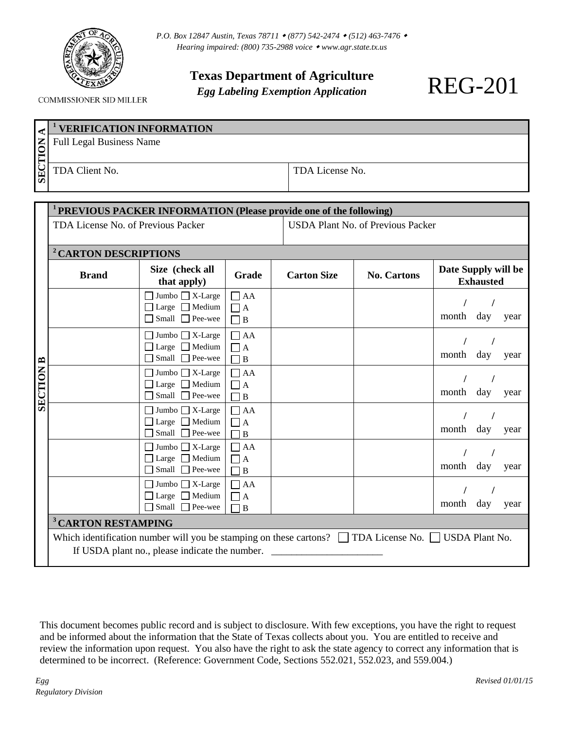

COMMISSIONER SID MILLER

**Texas Department of Agriculture**

*Egg Labeling Exemption Application*

|                                 | <sup>1</sup> VERIFICATION INFORMATION |                 |  |
|---------------------------------|---------------------------------------|-----------------|--|
| NOLI                            | <b>Full Legal Business Name</b>       |                 |  |
| . ج ۱<br>$\overline{\text{SE}}$ | TDA Client No.                        | TDA License No. |  |

|                  | PREVIOUS PACKER INFORMATION (Please provide one of the following)                                               |                                                           |                                |                                          |                    |                                         |      |  |
|------------------|-----------------------------------------------------------------------------------------------------------------|-----------------------------------------------------------|--------------------------------|------------------------------------------|--------------------|-----------------------------------------|------|--|
|                  | TDA License No. of Previous Packer                                                                              |                                                           |                                | <b>USDA Plant No. of Previous Packer</b> |                    |                                         |      |  |
|                  | <sup>2</sup> CARTON DESCRIPTIONS                                                                                |                                                           |                                |                                          |                    |                                         |      |  |
| <b>SECTION B</b> | <b>Brand</b>                                                                                                    | Size (check all<br>that apply)                            | Grade                          | <b>Carton Size</b>                       | <b>No. Cartons</b> | Date Supply will be<br><b>Exhausted</b> |      |  |
|                  |                                                                                                                 | $\Box$ Jumbo $\Box$ X-Large                               | $\Box$ AA                      |                                          |                    |                                         |      |  |
|                  |                                                                                                                 | $\Box$ Large $\Box$ Medium<br>$\Box$ Small $\Box$ Pee-wee | $\Box$ A<br>$\Box$ B           |                                          |                    | month<br>day                            | year |  |
|                  |                                                                                                                 | $\Box$ Jumbo $\Box$ X-Large                               | $\Box$ AA                      |                                          |                    |                                         |      |  |
|                  |                                                                                                                 | $\Box$ Large $\Box$ Medium<br>□ Small □ Pee-wee           | $\Box$ A<br>$\Box$ B           |                                          |                    | month<br>day                            | year |  |
|                  |                                                                                                                 | $\Box$ Jumbo $\Box$ X-Large                               | $\Box$ AA                      |                                          |                    |                                         |      |  |
|                  |                                                                                                                 | $\Box$ Large $\Box$ Medium<br>$\Box$ Small $\Box$ Pee-wee | $\Box$ A<br>П<br>B             |                                          |                    | month<br>day                            | year |  |
|                  |                                                                                                                 | $\Box$ Jumbo $\Box$ X-Large                               | $\Box$ AA                      |                                          |                    |                                         |      |  |
|                  |                                                                                                                 | $\Box$ Large $\Box$ Medium<br>Small $\Box$ Pee-wee        | $\Box$ A<br>$\Box$ B           |                                          |                    | month<br>day                            | year |  |
|                  |                                                                                                                 | $\Box$ Jumbo $\Box$ X-Large                               | $\Box$ AA                      |                                          |                    |                                         |      |  |
|                  |                                                                                                                 | $\Box$ Large $\Box$ Medium<br>Small $\Box$ Pee-wee        | $\Box$ A<br>$\bf{B}$<br>$\Box$ |                                          |                    | month<br>day                            | year |  |
|                  |                                                                                                                 | $\Box$ Jumbo $\Box$ X-Large                               | $\Box$ AA                      |                                          |                    |                                         |      |  |
|                  |                                                                                                                 | Large Medium<br>Small Pee-wee                             | $\Box$ A<br>$\Box$ B           |                                          |                    | month<br>day                            | year |  |
|                  | <sup>3</sup> CARTON RESTAMPING                                                                                  |                                                           |                                |                                          |                    |                                         |      |  |
|                  | Which identification number will you be stamping on these cartons? $\Box$ TDA License No. $\Box$ USDA Plant No. |                                                           |                                |                                          |                    |                                         |      |  |
|                  | If USDA plant no., please indicate the number.                                                                  |                                                           |                                |                                          |                    |                                         |      |  |

This document becomes public record and is subject to disclosure. With few exceptions, you have the right to request and be informed about the information that the State of Texas collects about you. You are entitled to receive and review the information upon request. You also have the right to ask the state agency to correct any information that is determined to be incorrect. (Reference: Government Code, Sections 552.021, 552.023, and 559.004.)